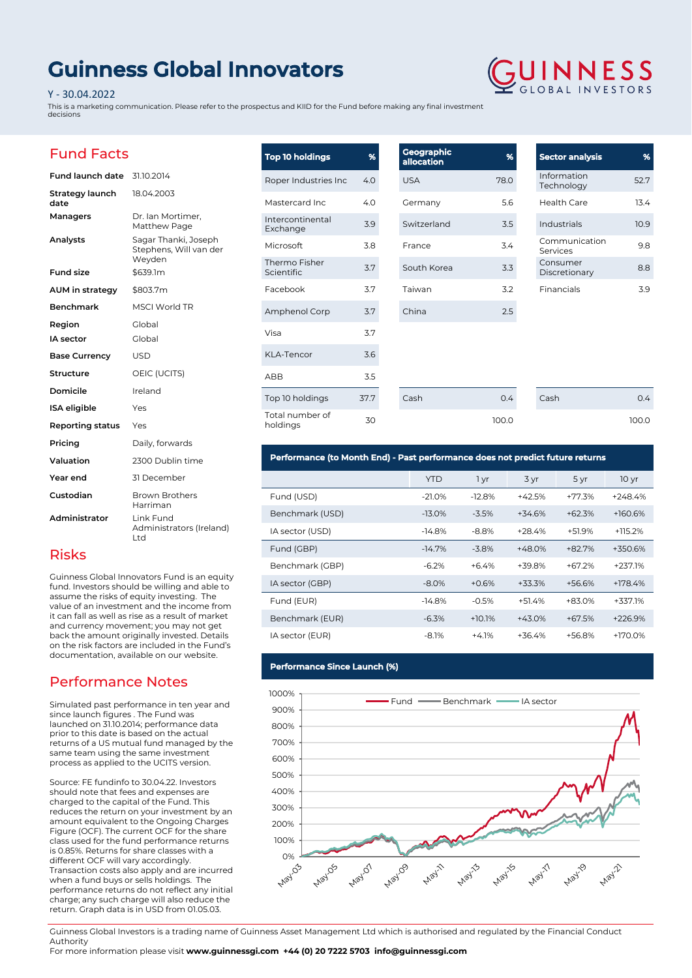# **Guinness Global Innovators**

#### Y - 30.04.2022

This is a marketing communication. Please refer to the prospectus and KIID for the Fund before making any final investment decisions

## Fund Facts

| Fund launch date               | 31.10.2014                                               |
|--------------------------------|----------------------------------------------------------|
| <b>Strategy launch</b><br>date | 18.04.2003                                               |
| Managers                       | Dr. Ian Mortimer,<br>Matthew Page                        |
| Analysts                       | Sagar Thanki, Joseph<br>Stephens, Will van der<br>Weyden |
| <b>Fund size</b>               | \$639.1m                                                 |
| AUM in strategy                | \$803.7m                                                 |
| Benchmark                      | <b>MSCI World TR</b>                                     |
| Region                         | Global                                                   |
| IA sector                      | Global                                                   |
| <b>Base Currency</b>           | <b>USD</b>                                               |
| Structure                      | OEIC (UCITS)                                             |
| Domicile                       | Ireland                                                  |
| <b>ISA</b> eligible            | Yes                                                      |
| <b>Reporting status</b>        | Yes                                                      |
| Pricing                        | Daily, forwards                                          |
| Valuation                      | 2300 Dublin time                                         |
| Year end                       | 31 December                                              |
| Custodian                      | <b>Brown Brothers</b><br>Harriman                        |
| Administrator                  | Link Fund<br>Administrators (Ireland)<br>Ltd             |

### Risks

Guinness Global Innovators Fund is an equity fund. Investors should be willing and able to assume the risks of equity investing. The value of an investment and the income from it can fall as well as rise as a result of market and currency movement; you may not get back the amount originally invested. Details on the risk factors are included in the Fund's documentation, available on our website.

## Performance Notes

Simulated past performance in ten year and since launch figures . The Fund was launched on 31.10.2014; performance data prior to this date is based on the actual returns of a US mutual fund managed by the same team using the same investment process as applied to the UCITS version.

Source: FE fundinfo to 30.04.22. Investors should note that fees and expenses are charged to the capital of the Fund. This reduces the return on your investment by an amount equivalent to the Ongoing Charges Figure (OCF). The current OCF for the share class used for the fund performance returns is 0.85%. Returns for share classes with a different OCF will vary accordingly. Transaction costs also apply and are incurred when a fund buys or sells holdings. The performance returns do not reflect any initial charge; any such charge will also reduce the return. Graph data is in USD from 01.05.03.

| <b>Top 10 holdings</b>       | %    | Geographic<br>allocation |
|------------------------------|------|--------------------------|
| Roper Industries Inc         | 4.0  | <b>USA</b>               |
| Mastercard Inc               | 4.0  | Germany                  |
| Intercontinental<br>Exchange | 3.9  | Switzerland              |
| Microsoft                    | 3.8  | France                   |
| Thermo Fisher<br>Scientific  | 3.7  | South Korea              |
| Facebook                     | 3.7  | Taiwan                   |
| Amphenol Corp                | 3.7  | China                    |
| Visa                         | 3.7  |                          |
| <b>KLA-Tencor</b>            | 3.6  |                          |
| ABB                          | 3.5  |                          |
| Top 10 holdings              | 37.7 | Cash                     |
| Total number of<br>holdings  | 30   |                          |

| Geographic<br>allocation | %    | <b>Sect</b>   |
|--------------------------|------|---------------|
| <b>USA</b>               | 78.0 | Infor<br>Tech |
| Germany                  | 5.6  | Heal          |
| Switzerland              | 3.5  | Indu          |
| France                   | 3.4  | Com<br>Serv   |
| South Korea              | 3.3  | Con:<br>Disc  |
| Taiwan                   | 3.2  | Fina          |
| China                    | 2.5  |               |
|                          |      |               |

 $0.4$ 100.0

| <b>Sector analysis</b>    | o,   |
|---------------------------|------|
| Information<br>Technology | 527  |
| Health Care               | 13.4 |
| Industrials               | 10.9 |
| Communication<br>Services | 98   |
| Consumer<br>Discretionary | 8.8  |
| Financials                | 39   |

**GUINNESS** 

Cash 0.4

100.0

**Performance (to Month End) - Past performance does not predict future returns**

|                 | <b>YTD</b> | 1 yr     | 3 yr     | 5 yr     | 10 <sub>yr</sub> |
|-----------------|------------|----------|----------|----------|------------------|
| Fund (USD)      | $-21.0%$   | $-12.8%$ | $+42.5%$ | $+77.3%$ | $+248.4%$        |
| Benchmark (USD) | $-13.0%$   | $-3.5%$  | $+34.6%$ | $+62.3%$ | $+160.6%$        |
| IA sector (USD) | $-14.8%$   | $-8.8%$  | $+28.4%$ | $+51.9%$ | $+115.2%$        |
| Fund (GBP)      | $-14.7%$   | $-3.8%$  | $+48.0%$ | $+82.7%$ | $+350.6%$        |
| Benchmark (GBP) | $-6.2%$    | $+6.4%$  | +39.8%   | $+67.2%$ | $+237.1%$        |
| IA sector (GBP) | $-8.0%$    | $+0.6%$  | $+33.3%$ | $+56.6%$ | $+178.4%$        |
| Fund (EUR)      | $-14.8%$   | $-0.5%$  | $+51.4%$ | $+83.0%$ | +337.1%          |
| Benchmark (EUR) | $-6.3%$    | $+10.1%$ | $+43.0%$ | $+67.5%$ | $+226.9%$        |
| IA sector (EUR) | $-8.1%$    | $+4.1%$  | $+36.4%$ | $+56.8%$ | +170.0%          |

#### **Performance Since Launch (%)**



Guinness Global Investors is a trading name of Guinness Asset Management Ltd which is authorised and regulated by the Financial Conduct Authority

For more information please visit **www.guinnessgi.com +44 (0) 20 7222 5703 info@guinnessgi.com**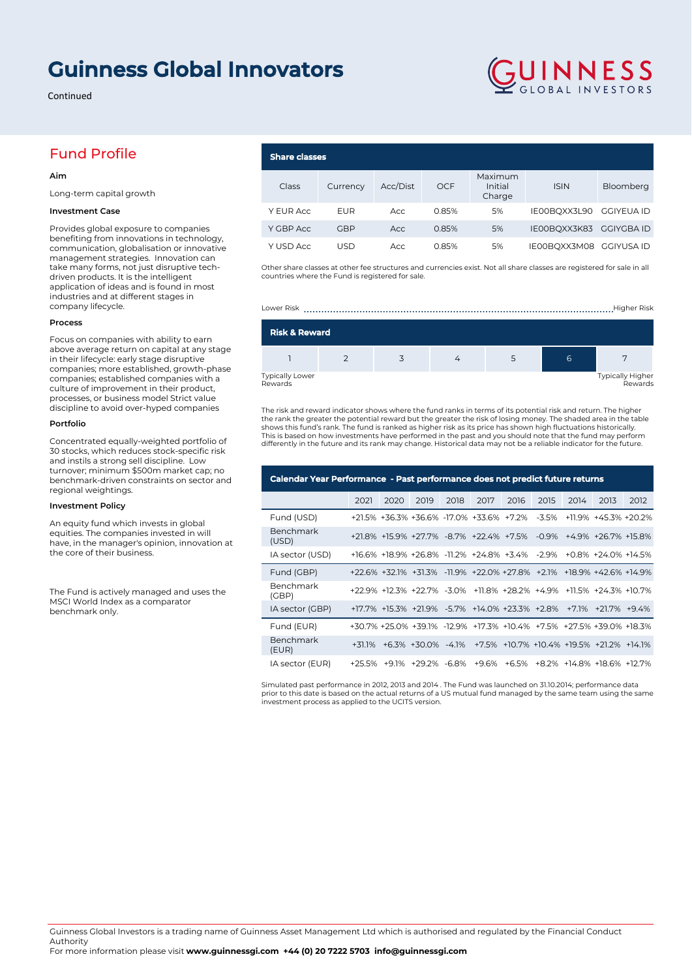# **Guinness Global Innovators**

Continued

## Fund Profile

#### **Aim**

Long-term capital growth

#### **Investment Case**

Provides global exposure to companies benefiting from innovations in technology, communication, globalisation or innovative management strategies. Innovation can take many forms, not just disruptive techdriven products. It is the intelligent application of ideas and is found in most industries and at different stages in company lifecycle.

#### **Process**

Focus on companies with ability to earn above average return on capital at any stage in their lifecycle: early stage disruptive companies; more established, growth-phase companies; established companies with a culture of improvement in their product, processes, or business model Strict value discipline to avoid over-hyped companies

#### **Portfolio**

Concentrated equally-weighted portfolio of 30 stocks, which reduces stock-specific risk and instils a strong sell discipline. Low turnover; minimum \$500m market cap; no benchmark-driven constraints on sector and regional weightings.

#### **Investment Policy**

An equity fund which invests in global equities. The companies invested in will have, in the manager's opinion, innovation at the core of their business.

The Fund is actively managed and uses the MSCI World Index as a comparator benchmark only.

# **Share classes**

| Class     | Currency | Acc/Dist | <b>OCF</b> | Maximum<br>Initial<br>Charge | <b>ISIN</b>             | Bloomberg  |
|-----------|----------|----------|------------|------------------------------|-------------------------|------------|
| Y EUR Acc | EUR      | Acc      | 0.85%      | 5%                           | IE00BOXX3L90            | GGIYEUA ID |
| Y GBP Acc | GBP      | Acc      | 0.85%      | 5%                           | IE00BQXX3K83 GGIYGBA ID |            |
| Y USD Acc | USD      | Acc      | 0.85%      | 5%                           | IE00BQXX3M08 GGIYUSA ID |            |

GUINNESS

Other share classes at other fee structures and currencies exist. Not all share classes are registered for sale in all countries where the Fund is registered for sale.

Lower Risk ..........................................................................................................Higher Risk

| <b>Risk &amp; Reward</b>          |  |  |  |  |   |                             |  |  |  |
|-----------------------------------|--|--|--|--|---|-----------------------------|--|--|--|
|                                   |  |  |  |  | 6 |                             |  |  |  |
| <b>Typically Lower</b><br>Rewards |  |  |  |  |   | Typically Higher<br>Rewards |  |  |  |

The risk and reward indicator shows where the fund ranks in terms of its potential risk and return. The higher the rank the greater the potential reward but the greater the risk of losing money. The shaded area in the table<br>shows this fund's rank. The fund is ranked as higher risk as its price has shown high fluctuations historical This is based on how investments have performed in the past and you should note that the fund may perform differently in the future and its rank may change. Historical data may not be a reliable indicator for the future.

| Calendar Year Performance - Past performance does not predict future returns |      |      |                                                                      |      |      |      |      |      |      |      |
|------------------------------------------------------------------------------|------|------|----------------------------------------------------------------------|------|------|------|------|------|------|------|
|                                                                              | 2021 | 2020 | 2019                                                                 | 2018 | 2017 | 2016 | 2015 | 2014 | 2013 | 2012 |
| Fund (USD)                                                                   |      |      | +21.5% +36.3% +36.6% -17.0% +33.6% +7.2% -3.5% +11.9% +45.3% +20.2%  |      |      |      |      |      |      |      |
| Benchmark<br>(USD)                                                           |      |      | +21.8% +15.9% +27.7% -8.7% +22.4% +7.5% -0.9% +4.9% +26.7% +15.8%    |      |      |      |      |      |      |      |
| IA sector (USD)                                                              |      |      | +16.6% +18.9% +26.8% -11.2% +24.8% +3.4% -2.9% +0.8% +24.0% +14.5%   |      |      |      |      |      |      |      |
| Fund (GBP)                                                                   |      |      | +22.6% +32.1% +31.3% -11.9% +22.0% +27.8% +2.1% +18.9% +42.6% +14.9% |      |      |      |      |      |      |      |
| <b>Benchmark</b><br>(GBP)                                                    |      |      | +22.9% +12.3% +22.7% -3.0% +11.8% +28.2% +4.9% +11.5% +24.3% +10.7%  |      |      |      |      |      |      |      |
| IA sector (GBP)                                                              |      |      | +17.7% +15.3% +21.9% -5.7% +14.0% +23.3% +2.8% +7.1% +21.7% +9.4%    |      |      |      |      |      |      |      |
| Fund (EUR)                                                                   |      |      | +30.7% +25.0% +39.1% -12.9% +17.3% +10.4% +7.5% +27.5% +39.0% +18.3% |      |      |      |      |      |      |      |
| Benchmark<br>(EUR)                                                           |      |      | +31.1% +6.3% +30.0% -4.1% +7.5% +10.7% +10.4% +19.5% +21.2% +14.1%   |      |      |      |      |      |      |      |
| IA sector (EUR)                                                              |      |      | +25.5% +9.1% +29.2% -6.8% +9.6% +6.5% +8.2% +14.8% +18.6% +12.7%     |      |      |      |      |      |      |      |

Simulated past performance in 2012, 2013 and 2014 . The Fund was launched on 31.10.2014; performance data prior to this date is based on the actual returns of a US mutual fund managed by the same team using the same investment process as applied to the UCITS version.

For more information please visit **www.guinnessgi.com +44 (0) 20 7222 5703 info@guinnessgi.com**